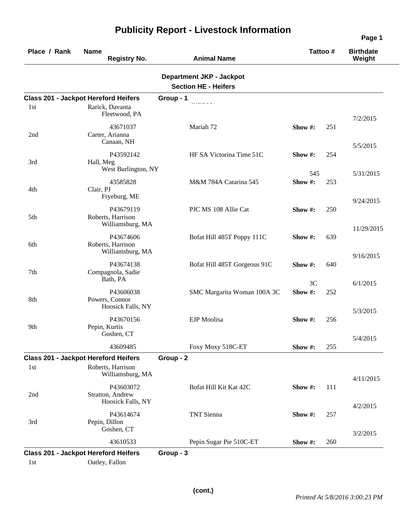| Place / Rank | <b>Name</b><br><b>Registry No.</b>                                                   | <b>Animal Name</b>                                             | Tattoo#       |     | <b>Birthdate</b><br>Weight |
|--------------|--------------------------------------------------------------------------------------|----------------------------------------------------------------|---------------|-----|----------------------------|
|              |                                                                                      | <b>Department JKP - Jackpot</b><br><b>Section HE - Heifers</b> |               |     |                            |
|              | <b>Class 201 - Jackpot Hereford Heifers</b>                                          | Group - 1                                                      |               |     |                            |
| 1st          | Rarick, Davanta<br>Fleetwood, PA                                                     |                                                                |               |     | 7/2/2015                   |
| 2nd          | 43671037<br>Carter, Arianna<br>Canaan, NH                                            | Mariah 72                                                      | Show #:       | 251 | 5/5/2015                   |
| 3rd          | P43592142<br>Hall, Meg<br>West Burlington, NY                                        | HF SA Victorina Time 51C                                       | Show $\#$ :   | 254 |                            |
| 4th          | 43585828<br>Clair, PJ<br>Fryeburg, ME                                                | M&M 784A Catarina 545                                          | 545<br>Show#: | 253 | 5/31/2015                  |
| 5th          | P43679119<br>Roberts, Harrison<br>Williamsburg, MA                                   | PJC MS 108 Allie Cat                                           | Show #:       | 250 | 9/24/2015                  |
| 6th          | P43674606<br>Roberts, Harrison<br>Williamsburg, MA                                   | Bofat Hill 485T Poppy 111C                                     | Show #:       | 639 | 11/29/2015                 |
| 7th          | P43674138<br>Compagnola, Sadie<br>Bath, PA                                           | Bofat Hill 485T Gorgeous 91C                                   | Show $\#$ :   | 640 | 9/16/2015                  |
| 8th          | P43606038<br>Powers, Connor<br>Hoosick Falls, NY                                     | SMC Margarita Woman 100A 3C                                    | 3C<br>Show#:  | 252 | 6/1/2015                   |
| 9th          | P43670156<br>Pepin, Kurtis<br>Goshen, CT                                             | <b>EJP</b> Moolisa                                             | Show #:       | 256 | 5/3/2015                   |
|              | 43609485                                                                             | Foxy Moxy 518C-ET                                              | Show #:       | 255 | 5/4/2015                   |
| 1st          | <b>Class 201 - Jackpot Hereford Heifers</b><br>Roberts, Harrison<br>Williamsburg, MA | Group - 2                                                      |               |     | 4/11/2015                  |
| 2nd          | P43603072<br>Stratton, Andrew<br>Hoosick Falls, NY                                   | Bofat Hill Kit Kat 42C                                         | Show#:        | 111 |                            |
| 3rd          | P43614674<br>Pepin, Dillon<br>Goshen, CT                                             | TNT Sienna                                                     | Show #:       | 257 | 4/2/2015                   |
|              | 43610533                                                                             | Pepin Sugar Pie 510C-ET                                        | Show#:        | 260 | 3/2/2015                   |
| 1st          | <b>Class 201 - Jackpot Hereford Heifers</b><br>Oatley, Fallon                        | Group - 3                                                      |               |     |                            |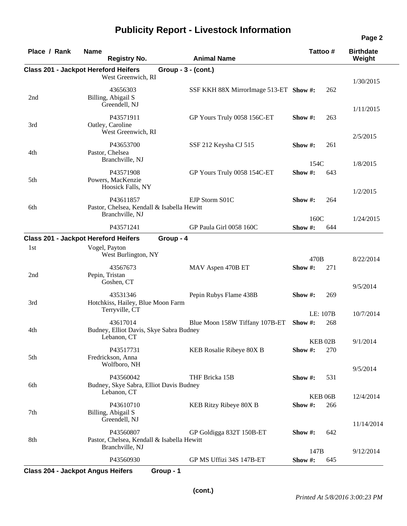| Place / Rank | <b>Name</b><br><b>Registry No.</b>                                         | <b>Animal Name</b>                     |             | Tattoo #                  | <b>Birthdate</b><br>Weight |
|--------------|----------------------------------------------------------------------------|----------------------------------------|-------------|---------------------------|----------------------------|
|              | <b>Class 201 - Jackpot Hereford Heifers</b>                                | $Group - 3 - (cont.)$                  |             |                           |                            |
|              | West Greenwich, RI                                                         |                                        |             |                           | 1/30/2015                  |
| 2nd          | 43656303<br>Billing, Abigail S<br>Greendell, NJ                            | SSF KKH 88X MirrorImage 513-ET Show #: |             | 262                       |                            |
| 3rd          | P43571911<br>Oatley, Caroline<br>West Greenwich, RI                        | GP Yours Truly 0058 156C-ET            | Show $\#$ : | 263                       | 1/11/2015                  |
| 4th          | P43653700<br>Pastor, Chelsea                                               | SSF 212 Keysha CJ 515                  | Show $\#$ : | 261                       | 2/5/2015                   |
|              | Branchville, NJ                                                            |                                        | 154C        |                           | 1/8/2015                   |
| 5th          | P43571908<br>Powers, MacKenzie<br>Hoosick Falls, NY                        | GP Yours Truly 0058 154C-ET            | Show #:     | 643                       |                            |
| 6th          | P43611857<br>Pastor, Chelsea, Kendall & Isabella Hewitt                    | EJP Storm S01C                         | Show $\#$ : | 264                       | 1/2/2015                   |
|              | Branchville, NJ                                                            |                                        | 160C        |                           | 1/24/2015                  |
|              | P43571241                                                                  | GP Paula Girl 0058 160C                | Show#:      | 644                       |                            |
|              | <b>Class 201 - Jackpot Hereford Heifers</b>                                | Group - 4                              |             |                           |                            |
| 1st          | Vogel, Payton                                                              |                                        |             |                           |                            |
|              | West Burlington, NY                                                        |                                        | 470B        |                           | 8/22/2014                  |
| 2nd          | 43567673<br>Pepin, Tristan                                                 | MAV Aspen 470B ET                      | Show #:     | 271                       |                            |
|              | Goshen, CT                                                                 |                                        |             |                           | 9/5/2014                   |
| 3rd          | 43531346<br>Hotchkiss, Hailey, Blue Moon Farm<br>Terryville, CT            | Pepin Rubys Flame 438B                 | Show #:     | 269                       |                            |
|              |                                                                            |                                        |             | LE: 107B                  | 10/7/2014                  |
| 4th          | 43617014<br>Budney, Elliot Davis, Skye Sabra Budney<br>Lebanon, CT         | Blue Moon 158W Tiffany 107B-ET         | Show $#$ :  | 268                       |                            |
|              |                                                                            |                                        |             | KEB <sub>02B</sub>        | 9/1/2014                   |
| 5th          | P43517731<br>Fredrickson, Anna<br>Wolfboro, NH                             | KEB Rosalie Ribeye 80X B               | Show #:     | 270                       |                            |
| 6th          | P43560042<br>Budney, Skye Sabra, Elliot Davis Budney                       | THF Bricka 15B                         | Show #:     | 531                       | 9/5/2014                   |
|              | Lebanon, CT                                                                |                                        |             |                           |                            |
| 7th          | P43610710<br>Billing, Abigail S                                            | KEB Ritzy Ribeye 80X B                 | Show #:     | KEB <sub>06B</sub><br>266 | 12/4/2014                  |
|              | Greendell, NJ                                                              |                                        |             |                           | 11/14/2014                 |
| 8th          | P43560807<br>Pastor, Chelsea, Kendall & Isabella Hewitt<br>Branchville, NJ | GP Goldigga 832T 150B-ET               | Show #:     | 642                       |                            |
|              |                                                                            |                                        | 147B        |                           | 9/12/2014                  |
|              | P43560930                                                                  | GP MS Uffizi 34S 147B-ET               | Show #:     | 645                       |                            |

**Class 204 - Jackpot Angus Heifers Group - 1**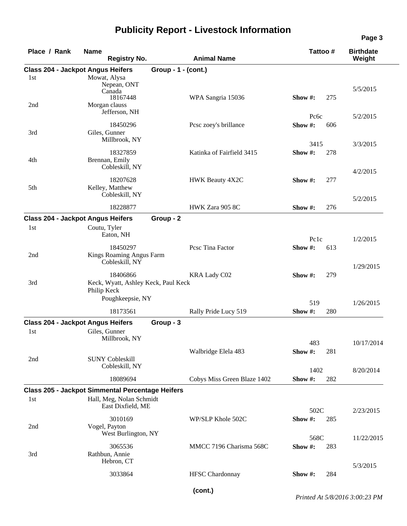| Place / Rank                             | <b>Name</b>  | <b>Registry No.</b>                                                                 |                     | <b>Animal Name</b>          |             |                   | Tattoo # | <b>Birthdate</b><br>Weight |
|------------------------------------------|--------------|-------------------------------------------------------------------------------------|---------------------|-----------------------------|-------------|-------------------|----------|----------------------------|
| <b>Class 204 - Jackpot Angus Heifers</b> |              |                                                                                     | Group - 1 - (cont.) |                             |             |                   |          |                            |
| 1st<br>2nd                               |              | Mowat, Alysa<br>Nepean, ONT<br>Canada<br>18167448<br>Morgan clauss<br>Jefferson, NH |                     | WPA Sangria 15036           | Show $#$ :  | Pc <sub>6</sub> c | 275      | 5/5/2015<br>5/2/2015       |
| 3rd                                      |              | 18450296<br>Giles, Gunner<br>Millbrook, NY                                          |                     | Pcsc zoey's brillance       | Show#:      | 3415              | 606      | 3/3/2015                   |
| 4th                                      |              | 18327859<br>Brennan, Emily<br>Cobleskill, NY                                        |                     | Katinka of Fairfield 3415   | Show #:     |                   | 278      | 4/2/2015                   |
| 5th                                      |              | 18207628<br>Kelley, Matthew<br>Cobleskill, NY                                       |                     | HWK Beauty 4X2C             | Show $\#$ : |                   | 277      | 5/2/2015                   |
|                                          |              | 18228877                                                                            |                     | HWK Zara 905 8C             | Show $#$ :  |                   | 276      |                            |
| <b>Class 204 - Jackpot Angus Heifers</b> |              |                                                                                     | Group - 2           |                             |             |                   |          |                            |
| 1st                                      | Coutu, Tyler | Eaton, NH                                                                           |                     |                             |             | Pc <sub>1c</sub>  |          | 1/2/2015                   |
| 2nd                                      |              | 18450297<br>Kings Roaming Angus Farm<br>Cobleskill, NY                              |                     | Pcsc Tina Factor            | Show #:     |                   | 613      | 1/29/2015                  |
| 3rd                                      | Philip Keck  | 18406866<br>Keck, Wyatt, Ashley Keck, Paul Keck<br>Poughkeepsie, NY                 |                     | <b>KRA Lady C02</b>         | Show #:     | 519               | 279      | 1/26/2015                  |
|                                          |              | 18173561                                                                            |                     | Rally Pride Lucy 519        | Show#:      |                   | 280      |                            |
| <b>Class 204 - Jackpot Angus Heifers</b> |              |                                                                                     | Group - 3           |                             |             |                   |          |                            |
| 1st                                      |              | Giles, Gunner<br>Millbrook, NY                                                      |                     |                             |             | 483               |          | 10/17/2014                 |
| 2nd                                      |              | <b>SUNY Cobleskill</b><br>Cobleskill, NY                                            |                     | Walbridge Elela 483         | Show #:     | 1402              | 281      | 8/20/2014                  |
|                                          |              | 18089694                                                                            |                     | Cobys Miss Green Blaze 1402 | Show #:     |                   | 282      |                            |
|                                          |              | <b>Class 205 - Jackpot Simmental Percentage Heifers</b>                             |                     |                             |             |                   |          |                            |
| 1st                                      |              | Hall, Meg, Nolan Schmidt<br>East Dixfield, ME                                       |                     |                             |             | 502C              |          | 2/23/2015                  |
| 2nd                                      |              | 3010169<br>Vogel, Payton<br>West Burlington, NY                                     |                     | WP/SLP Khole 502C           | Show #:     | 568C              | 285      | 11/22/2015                 |
| 3rd                                      |              | 3065536<br>Rathbun, Annie<br>Hebron, CT                                             |                     | MMCC 7196 Charisma 568C     | Show #:     |                   | 283      |                            |
|                                          |              | 3033864                                                                             |                     | <b>HFSC</b> Chardonnay      | Show #:     |                   | 284      | 5/3/2015                   |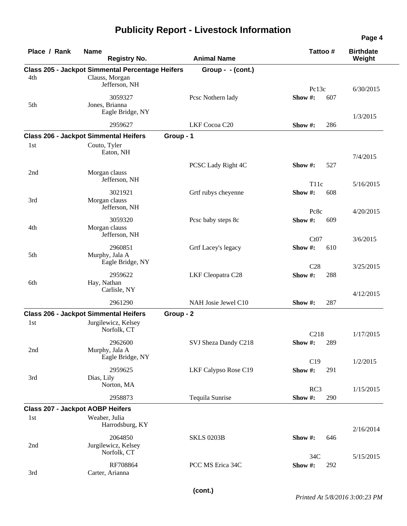| Place / Rank                            | <b>Name</b><br><b>Registry No.</b>                                        | <b>Animal Name</b>   | Tattoo#                            | <b>Birthdate</b><br>Weight |
|-----------------------------------------|---------------------------------------------------------------------------|----------------------|------------------------------------|----------------------------|
| 4th                                     | <b>Class 205 - Jackpot Simmental Percentage Heifers</b><br>Clauss, Morgan | Group - - (cont.)    |                                    |                            |
| 5th                                     | Jefferson, NH<br>3059327<br>Jones, Brianna                                | Pcsc Nothern lady    | Pc13c<br>Show#:<br>607             | 6/30/2015                  |
|                                         | Eagle Bridge, NY                                                          |                      |                                    | 1/3/2015                   |
|                                         | 2959627                                                                   | LKF Cocoa C20        | Show #:<br>286                     |                            |
| 1st                                     | <b>Class 206 - Jackpot Simmental Heifers</b><br>Couto, Tyler<br>Eaton, NH | Group - 1            |                                    | 7/4/2015                   |
| 2nd                                     | Morgan clauss<br>Jefferson, NH                                            | PCSC Lady Right 4C   | Show #:<br>527                     |                            |
| 3rd                                     | 3021921<br>Morgan clauss<br>Jefferson, NH                                 | Grtf rubys cheyenne  | T <sub>11</sub> c<br>Show#:<br>608 | 5/16/2015                  |
| 4th                                     | 3059320<br>Morgan clauss<br>Jefferson, NH                                 | Pcsc baby steps 8c   | Pc8c<br>Show#:<br>609              | 4/20/2015                  |
| 5th                                     | 2960851<br>Murphy, Jala A<br>Eagle Bridge, NY                             | Grtf Lacey's legacy  | Ct07<br>Show#:<br>610              | 3/6/2015                   |
| 6th                                     | 2959622<br>Hay, Nathan<br>Carlisle, NY                                    | LKF Cleopatra C28    | C28<br>Show #:<br>288              | 3/25/2015                  |
|                                         | 2961290                                                                   | NAH Josie Jewel C10  | 287<br>Show #:                     | 4/12/2015                  |
|                                         | <b>Class 206 - Jackpot Simmental Heifers</b>                              | Group - 2            |                                    |                            |
| 1st                                     | Jurgilewicz, Kelsey<br>Norfolk, CT                                        |                      | C <sub>218</sub>                   | 1/17/2015                  |
| 2nd                                     | 2962600<br>Murphy, Jala A<br>Eagle Bridge, NY                             | SVJ Sheza Dandy C218 | Show $#$ :<br>289                  |                            |
| 3rd                                     | 2959625<br>Dias, Lily<br>Norton, MA                                       | LKF Calypso Rose C19 | C19<br>Show #:<br>291              | 1/2/2015                   |
|                                         | 2958873                                                                   | Tequila Sunrise      | RC3<br>Show #:<br>290              | 1/15/2015                  |
| <b>Class 207 - Jackpot AOBP Heifers</b> |                                                                           |                      |                                    |                            |
| 1st                                     | Weaber, Julia<br>Harrodsburg, KY                                          |                      |                                    | 2/16/2014                  |
| 2nd                                     | 2064850<br>Jurgilewicz, Kelsey<br>Norfolk, CT                             | <b>SKLS 0203B</b>    | Show #:<br>646<br>34C              | 5/15/2015                  |
| 3rd                                     | RF708864<br>Carter, Arianna                                               | PCC MS Erica 34C     | Show #:<br>292                     |                            |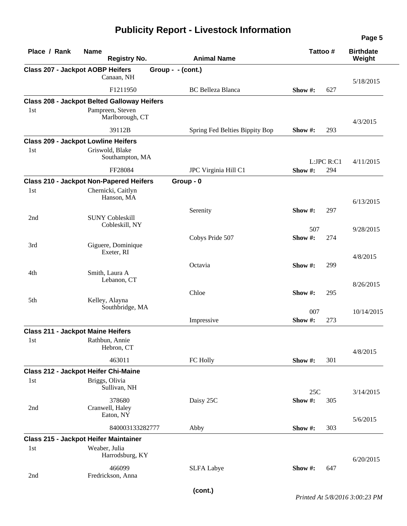| Place / Rank | <b>Name</b><br><b>Registry No.</b>                                               | <b>Animal Name</b>             | Tattoo#              | <b>Birthdate</b><br>Weight |
|--------------|----------------------------------------------------------------------------------|--------------------------------|----------------------|----------------------------|
|              | <b>Class 207 - Jackpot AOBP Heifers</b>                                          | Group - $-(\text{cont.})$      |                      |                            |
|              | Canaan, NH                                                                       |                                |                      | 5/18/2015                  |
|              | F1211950                                                                         | <b>BC</b> Belleza Blanca       | Show#:<br>627        |                            |
|              | <b>Class 208 - Jackpot Belted Galloway Heifers</b>                               |                                |                      |                            |
| 1st          | Pampreen, Steven<br>Marlborough, CT                                              |                                |                      | 4/3/2015                   |
|              | 39112B                                                                           | Spring Fed Belties Bippity Bop | 293<br>Show #:       |                            |
|              | <b>Class 209 - Jackpot Lowline Heifers</b>                                       |                                |                      |                            |
| 1st          | Griswold, Blake<br>Southampton, MA                                               |                                | L:JPC R:C1           | 4/11/2015                  |
|              | FF28084                                                                          | JPC Virginia Hill C1           | Show #:<br>294       |                            |
|              | <b>Class 210 - Jackpot Non-Papered Heifers</b>                                   | Group - 0                      |                      |                            |
| 1st          | Chernicki, Caitlyn<br>Hanson, MA                                                 |                                |                      | 6/13/2015                  |
|              |                                                                                  | Serenity                       | 297<br>Show #:       |                            |
| 2nd          | <b>SUNY Cobleskill</b>                                                           |                                |                      |                            |
|              | Cobleskill, NY                                                                   |                                | 507                  | 9/28/2015                  |
|              |                                                                                  | Cobys Pride 507                | Show#:<br>274        |                            |
| 3rd          | Giguere, Dominique<br>Exeter, RI                                                 |                                |                      | 4/8/2015                   |
|              |                                                                                  | Octavia                        | Show #:<br>299       |                            |
| 4th          | Smith, Laura A<br>Lebanon, CT                                                    |                                |                      | 8/26/2015                  |
|              |                                                                                  | Chloe                          | Show#:<br>295        |                            |
| 5th          | Kelley, Alayna<br>Southbridge, MA                                                |                                |                      |                            |
|              |                                                                                  |                                | 007<br>Show#:        | 10/14/2015                 |
|              |                                                                                  | Impressive                     | 273                  |                            |
| 1st          | <b>Class 211 - Jackpot Maine Heifers</b><br>Rathbun, Annie<br>Hebron, CT         |                                |                      |                            |
|              | 463011                                                                           | FC Holly                       | Show #:<br>301       | 4/8/2015                   |
|              | <b>Class 212 - Jackpot Heifer Chi-Maine</b>                                      |                                |                      |                            |
| 1st          | Briggs, Olivia<br>Sullivan, NH                                                   |                                |                      |                            |
| 2nd          | 378680<br>Cranwell, Haley                                                        | Daisy 25C                      | 25C<br>Show#:<br>305 | 3/14/2015                  |
|              | Eaton, NY<br>840003133282777                                                     |                                | Show #:<br>303       | 5/6/2015                   |
|              |                                                                                  | Abby                           |                      |                            |
| 1st          | <b>Class 215 - Jackpot Heifer Maintainer</b><br>Weaber, Julia<br>Harrodsburg, KY |                                |                      | 6/20/2015                  |
| 2nd          | 466099<br>Fredrickson, Anna                                                      | <b>SLFA Labye</b>              | Show #:<br>647       |                            |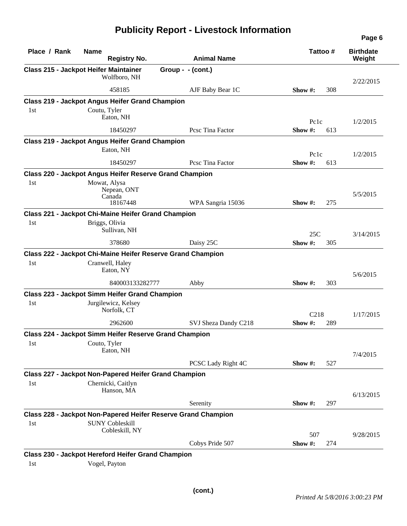| Place / Rank | <b>Name</b><br><b>Registry No.</b>                            | <b>Animal Name</b>   | Tattoo#            | <b>Birthdate</b><br>Weight |
|--------------|---------------------------------------------------------------|----------------------|--------------------|----------------------------|
|              | <b>Class 215 - Jackpot Heifer Maintainer</b>                  | Group - - (cont.)    |                    |                            |
|              | Wolfboro, NH                                                  |                      |                    | 2/22/2015                  |
|              | 458185                                                        | AJF Baby Bear 1C     | 308<br>Show $\#$ : |                            |
|              | <b>Class 219 - Jackpot Angus Heifer Grand Champion</b>        |                      |                    |                            |
| 1st          | Coutu, Tyler                                                  |                      |                    |                            |
|              | Eaton, NH                                                     |                      | Pclc               | 1/2/2015                   |
|              | 18450297                                                      | Pcsc Tina Factor     | Show $#$ :<br>613  |                            |
|              | <b>Class 219 - Jackpot Angus Heifer Grand Champion</b>        |                      |                    |                            |
|              | Eaton, NH                                                     |                      | Pc <sub>1c</sub>   | 1/2/2015                   |
|              | 18450297                                                      | Pesc Tina Factor     | Show #:<br>613     |                            |
|              | Class 220 - Jackpot Angus Heifer Reserve Grand Champion       |                      |                    |                            |
| 1st          | Mowat, Alysa                                                  |                      |                    |                            |
|              | Nepean, ONT                                                   |                      |                    | 5/5/2015                   |
|              | Canada<br>18167448                                            | WPA Sangria 15036    | 275<br>Show $\#$ : |                            |
|              | <b>Class 221 - Jackpot Chi-Maine Heifer Grand Champion</b>    |                      |                    |                            |
| 1st          | Briggs, Olivia                                                |                      |                    |                            |
|              | Sullivan, NH                                                  |                      | 25C                | 3/14/2015                  |
|              | 378680                                                        | Daisy 25C            | Show #:<br>305     |                            |
|              | Class 222 - Jackpot Chi-Maine Heifer Reserve Grand Champion   |                      |                    |                            |
| 1st          | Cranwell, Haley                                               |                      |                    |                            |
|              | Eaton, NY                                                     |                      |                    | 5/6/2015                   |
|              | 840003133282777                                               | Abby                 | 303<br>Show $#$ :  |                            |
|              | Class 223 - Jackpot Simm Heifer Grand Champion                |                      |                    |                            |
| 1st          | Jurgilewicz, Kelsey                                           |                      |                    |                            |
|              | Norfolk, CT                                                   |                      | C <sub>218</sub>   | 1/17/2015                  |
|              | 2962600                                                       | SVJ Sheza Dandy C218 | Show #:<br>289     |                            |
|              | <b>Class 224 - Jackpot Simm Heifer Reserve Grand Champion</b> |                      |                    |                            |
| 1st          | Couto, Tyler                                                  |                      |                    |                            |
|              | Eaton, NH                                                     |                      |                    | 7/4/2015                   |
|              |                                                               | PCSC Lady Right 4C   | 527<br>Show $#$ :  |                            |
|              | <b>Class 227 - Jackpot Non-Papered Heifer Grand Champion</b>  |                      |                    |                            |
| 1st          | Chernicki, Caitlyn                                            |                      |                    |                            |
|              | Hanson, MA                                                    |                      |                    | 6/13/2015                  |
|              |                                                               | Serenity             | 297<br>Show $#$ :  |                            |
|              | Class 228 - Jackpot Non-Papered Heifer Reserve Grand Champion |                      |                    |                            |
| 1st          | <b>SUNY Cobleskill</b>                                        |                      |                    |                            |
|              | Cobleskill, NY                                                |                      | 507                | 9/28/2015                  |
|              |                                                               | Cobys Pride 507      | Show #:<br>274     |                            |
|              | Class 230 - Jackpot Hereford Heifer Grand Champion            |                      |                    |                            |
| 1st          | Vogel, Payton                                                 |                      |                    |                            |

**Page 6**

 $\overline{\phantom{0}}$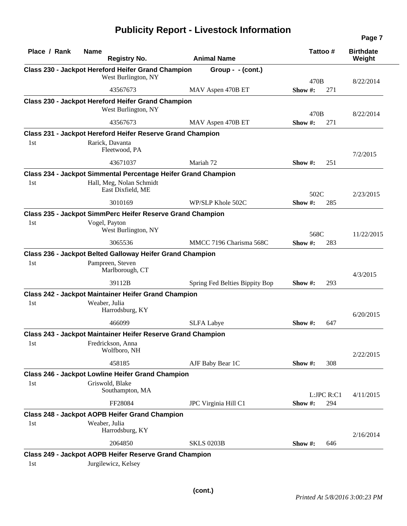| Place / Rank | <b>Name</b><br><b>Registry No.</b>                                                   | <b>Animal Name</b>             |            | Tattoo#    | <b>Birthdate</b><br>Weight |
|--------------|--------------------------------------------------------------------------------------|--------------------------------|------------|------------|----------------------------|
|              | Class 230 - Jackpot Hereford Heifer Grand Champion                                   | Group - $-(\text{cont.})$      |            |            |                            |
|              | West Burlington, NY                                                                  |                                | 470B       |            | 8/22/2014                  |
|              | 43567673                                                                             | MAV Aspen 470B ET              | Show $#$ : | 271        |                            |
|              | <b>Class 230 - Jackpot Hereford Heifer Grand Champion</b>                            |                                |            |            |                            |
|              | West Burlington, NY                                                                  |                                | 470B       |            | 8/22/2014                  |
|              | 43567673                                                                             | MAV Aspen 470B ET              | Show #:    | 271        |                            |
|              | Class 231 - Jackpot Hereford Heifer Reserve Grand Champion                           |                                |            |            |                            |
| 1st          | Rarick, Davanta                                                                      |                                |            |            |                            |
|              | Fleetwood, PA                                                                        |                                |            |            | 7/2/2015                   |
|              | 43671037                                                                             | Mariah 72                      | Show $#$ : | 251        |                            |
|              | <b>Class 234 - Jackpot Simmental Percentage Heifer Grand Champion</b>                |                                |            |            |                            |
| 1st          | Hall, Meg, Nolan Schmidt                                                             |                                |            |            |                            |
|              | East Dixfield, ME                                                                    |                                | 502C       |            | 2/23/2015                  |
|              | 3010169                                                                              | WP/SLP Khole 502C              | Show $#$ : | 285        |                            |
|              | <b>Class 235 - Jackpot SimmPerc Heifer Reserve Grand Champion</b>                    |                                |            |            |                            |
| 1st          | Vogel, Payton                                                                        |                                |            |            |                            |
|              | West Burlington, NY                                                                  |                                | 568C       |            | 11/22/2015                 |
|              | 3065536                                                                              | MMCC 7196 Charisma 568C        | Show #:    | 283        |                            |
|              | Class 236 - Jackpot Belted Galloway Heifer Grand Champion                            |                                |            |            |                            |
| 1st          | Pampreen, Steven<br>Marlborough, CT                                                  |                                |            |            | 4/3/2015                   |
|              | 39112B                                                                               | Spring Fed Belties Bippity Bop | Show $#$ : | 293        |                            |
|              | <b>Class 242 - Jackpot Maintainer Heifer Grand Champion</b>                          |                                |            |            |                            |
| 1st          | Weaber, Julia<br>Harrodsburg, KY                                                     |                                |            |            | 6/20/2015                  |
|              | 466099                                                                               | <b>SLFA Labye</b>              | Show $#$ : | 647        |                            |
|              | Class 243 - Jackpot Maintainer Heifer Reserve Grand Champion                         |                                |            |            |                            |
| 1st          | Fredrickson, Anna                                                                    |                                |            |            |                            |
|              | Wolfboro, NH                                                                         |                                |            |            | 2/22/2015                  |
|              | 458185                                                                               | AJF Baby Bear 1C               | Show $#$ : | 308        |                            |
|              | Class 246 - Jackpot Lowline Heifer Grand Champion                                    |                                |            |            |                            |
| 1st          | Griswold, Blake<br>Southampton, MA                                                   |                                |            | L:JPC R:C1 |                            |
|              | FF28084                                                                              | JPC Virginia Hill C1           | Show#:     | 294        | 4/11/2015                  |
|              | <b>Class 248 - Jackpot AOPB Heifer Grand Champion</b>                                |                                |            |            |                            |
| 1st          | Weaber, Julia                                                                        |                                |            |            |                            |
|              | Harrodsburg, KY                                                                      |                                |            |            | 2/16/2014                  |
|              | 2064850                                                                              | <b>SKLS 0203B</b>              | Show #:    | 646        |                            |
| 1st          | <b>Class 249 - Jackpot AOPB Heifer Reserve Grand Champion</b><br>Jurgilewicz, Kelsey |                                |            |            |                            |